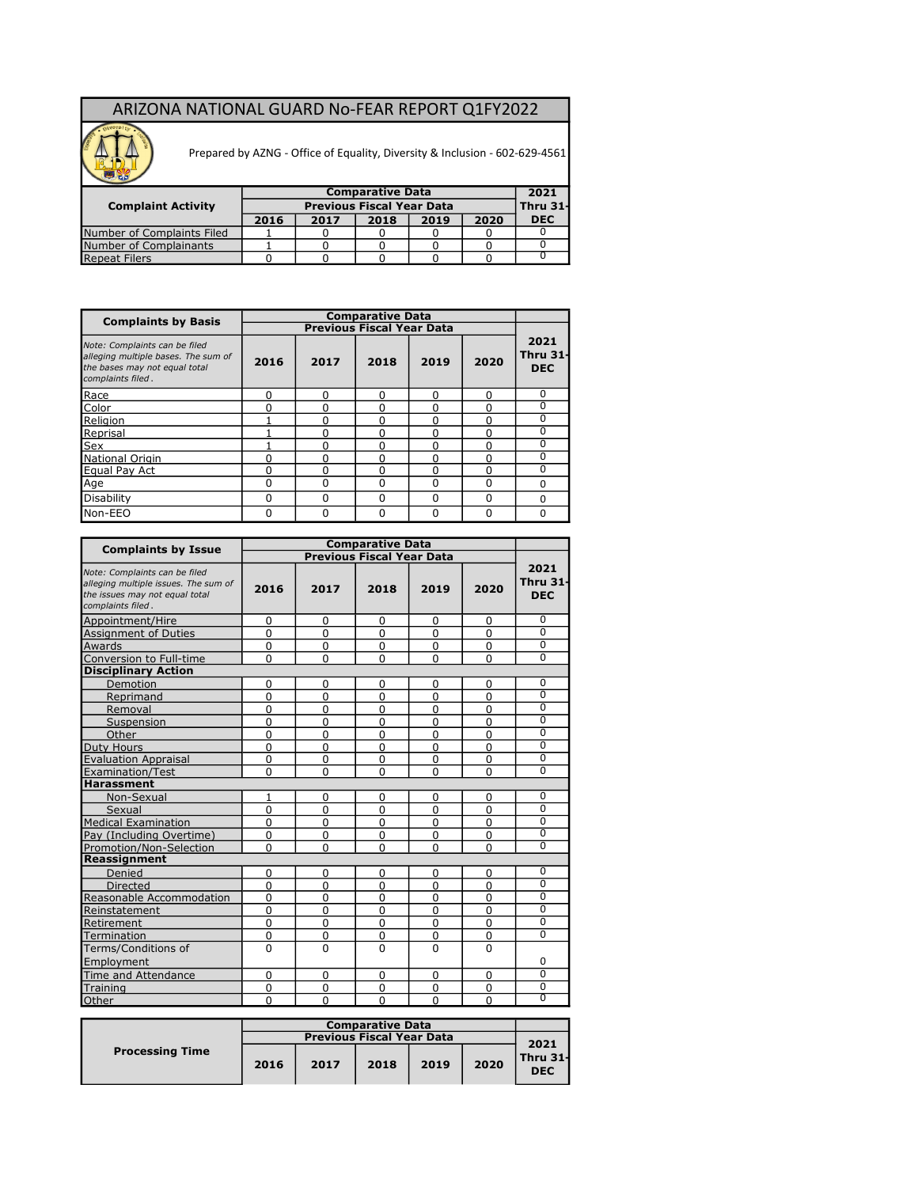## ARIZONA NATIONAL GUARD No-FEAR REPORT Q1FY2022



Prepared by AZNG - Office of Equality, Diversity & Inclusion - 602-629-4561

| <b>Complaint Activity</b>  |      |      | <b>Comparative Data</b><br><b>Previous Fiscal Year Data</b> |      |      | 2021<br>Thru 31- |
|----------------------------|------|------|-------------------------------------------------------------|------|------|------------------|
|                            | 2016 | 2017 | 2018                                                        | 2019 | 2020 | <b>DEC</b>       |
| Number of Complaints Filed |      |      |                                                             |      |      |                  |
| Number of Complainants     |      |      |                                                             |      |      |                  |
| <b>Repeat Filers</b>       |      |      |                                                             |      |      |                  |

| <b>Complaints by Basis</b>                                                                                                 |          |      | <b>Comparative Data</b>          |              |          |                                       |
|----------------------------------------------------------------------------------------------------------------------------|----------|------|----------------------------------|--------------|----------|---------------------------------------|
|                                                                                                                            |          |      | <b>Previous Fiscal Year Data</b> |              |          |                                       |
| Note: Complaints can be filed<br>alleging multiple bases. The sum of<br>the bases may not equal total<br>complaints filed. | 2016     | 2017 | 2018                             | 2019         | 2020     | 2021<br><b>Thru 31-</b><br><b>DEC</b> |
| Race<br>Color                                                                                                              | 0        |      | $\Omega$                         | U            | 0        | $\Omega$                              |
|                                                                                                                            | 0        |      | ŋ                                | U            | O        | $\Omega$                              |
| Religion                                                                                                                   |          |      | <sup>0</sup>                     | 0            | 0        | 0                                     |
| Reprisal                                                                                                                   |          |      | O                                | U            | 0        | $\Omega$                              |
| Sex                                                                                                                        |          |      | $\Omega$                         | 0            | 0        | $\Omega$                              |
| National Origin                                                                                                            | 0        |      | $\Omega$                         | U            | ŋ        | $\Omega$                              |
| Equal Pay Act                                                                                                              | 0        |      | $\Omega$                         | 0            | 0        | $\Omega$                              |
| Age                                                                                                                        | 0        |      | $\Omega$                         | 0            | ŋ        | $\Omega$                              |
| Disability                                                                                                                 | 0        | ŋ    | <sup>0</sup>                     | <sup>0</sup> | $\Omega$ | $\Omega$                              |
| Non-EEO                                                                                                                    | $\Omega$ |      | $\Omega$                         | $\Omega$     | 0        | $\Omega$                              |

| <b>Complaints by Issue</b>                                                                                                   |              |          | <b>Comparative Data</b>          |                |                |                                       |
|------------------------------------------------------------------------------------------------------------------------------|--------------|----------|----------------------------------|----------------|----------------|---------------------------------------|
|                                                                                                                              |              |          | <b>Previous Fiscal Year Data</b> |                |                |                                       |
| Note: Complaints can be filed<br>alleging multiple issues. The sum of<br>the issues may not equal total<br>complaints filed. | 2016         | 2017     | 2018                             | 2019           | 2020           | 2021<br><b>Thru 31-</b><br><b>DEC</b> |
| Appointment/Hire                                                                                                             | 0            | 0        | $\Omega$                         | 0              | 0              | 0                                     |
| <b>Assignment of Duties</b>                                                                                                  | $\Omega$     | $\Omega$ | $\Omega$                         | $\Omega$       | $\Omega$       | $\overline{0}$                        |
| Awards                                                                                                                       | $\Omega$     | $\Omega$ | $\Omega$                         | $\Omega$       | 0              | $\overline{0}$                        |
| Conversion to Full-time                                                                                                      | $\Omega$     | $\Omega$ | $\Omega$                         | $\Omega$       | 0              | $\overline{0}$                        |
| <b>Disciplinary Action</b>                                                                                                   |              |          |                                  |                |                |                                       |
| Demotion                                                                                                                     | $\Omega$     | $\Omega$ | $\Omega$                         | $\Omega$       | 0              | $\overline{0}$                        |
| Reprimand                                                                                                                    | $\Omega$     | $\Omega$ | $\Omega$                         | $\Omega$       | 0              | $\overline{0}$                        |
| Removal                                                                                                                      | $\Omega$     | $\Omega$ | $\Omega$                         | $\Omega$       | 0              | $\overline{0}$                        |
| Suspension                                                                                                                   | $\Omega$     | $\Omega$ | $\Omega$                         | $\Omega$       | $\Omega$       | $\overline{0}$                        |
| Other                                                                                                                        | $\Omega$     | $\Omega$ | $\Omega$                         | $\Omega$       | $\overline{0}$ | $\overline{0}$                        |
| <b>Duty Hours</b>                                                                                                            | $\Omega$     | $\Omega$ | $\overline{0}$                   | $\overline{0}$ | $\overline{0}$ | $\overline{0}$                        |
| <b>Evaluation Appraisal</b>                                                                                                  | $\Omega$     | $\Omega$ | $\overline{0}$                   | $\Omega$       | Ō              | $\overline{0}$                        |
| Examination/Test                                                                                                             | $\Omega$     | $\Omega$ | $\mathbf 0$                      | $\Omega$       | 0              | $\overline{0}$                        |
| <b>Harassment</b>                                                                                                            |              |          |                                  |                |                |                                       |
| Non-Sexual                                                                                                                   | $\mathbf{1}$ | $\Omega$ | $\mathbf 0$                      | $\mathbf 0$    | 0              | $\Omega$                              |
| Sexual                                                                                                                       | $\Omega$     | $\Omega$ | $\overline{0}$                   | $\Omega$       | $\Omega$       | $\Omega$                              |
| <b>Medical Examination</b>                                                                                                   | $\Omega$     | $\Omega$ | $\Omega$                         | $\Omega$       | 0              | $\overline{0}$                        |
| Pay (Including Overtime)                                                                                                     | $\Omega$     | $\Omega$ | $\overline{0}$                   | $\Omega$       | 0              | $\overline{0}$                        |
| Promotion/Non-Selection                                                                                                      | $\Omega$     | $\Omega$ | $\Omega$                         | $\Omega$       | O              | $\overline{0}$                        |
| Reassignment                                                                                                                 |              |          |                                  |                |                |                                       |
| Denied                                                                                                                       | $\mathbf 0$  | $\Omega$ | $\Omega$                         | 0              | 0              | $\overline{0}$                        |
| <b>Directed</b>                                                                                                              | $\Omega$     | $\Omega$ | $\Omega$                         | $\mathbf 0$    | 0              | $\Omega$                              |
| Reasonable Accommodation                                                                                                     | $\Omega$     | $\Omega$ | $\Omega$                         | $\mathbf 0$    | 0              | $\overline{0}$                        |
| Reinstatement                                                                                                                | $\Omega$     | $\Omega$ | $\Omega$                         | $\mathbf{0}$   | 0              | $\overline{0}$                        |
| Retirement                                                                                                                   | $\Omega$     | $\Omega$ | $\Omega$                         | $\mathbf{0}$   | 0              | $\overline{0}$                        |
| Termination                                                                                                                  | $\Omega$     | $\Omega$ | $\Omega$                         | $\mathbf{0}$   | 0              | $\overline{0}$                        |
| Terms/Conditions of                                                                                                          | $\Omega$     | $\Omega$ | $\Omega$                         | $\Omega$       | 0              |                                       |
| Employment                                                                                                                   |              |          |                                  |                |                | $\Omega$                              |
| Time and Attendance                                                                                                          | $\Omega$     | $\Omega$ | $\Omega$                         | $\mathbf{0}$   | 0              | $\overline{0}$                        |
| Training                                                                                                                     | 0            | 0        | $\mathbf 0$                      | 0              | 0              | $\overline{0}$                        |
| <b>Other</b>                                                                                                                 | $\Omega$     | $\Omega$ | $\Omega$                         | $\Omega$       | O              | $\overline{0}$                        |

|                        |      |                                  | <b>Comparative Data</b> |      |      |                        |
|------------------------|------|----------------------------------|-------------------------|------|------|------------------------|
|                        |      | <b>Previous Fiscal Year Data</b> |                         |      |      | 2021                   |
| <b>Processing Time</b> | 2016 | 2017                             | 2018                    | 2019 | 2020 | Thru 31-<br><b>DEC</b> |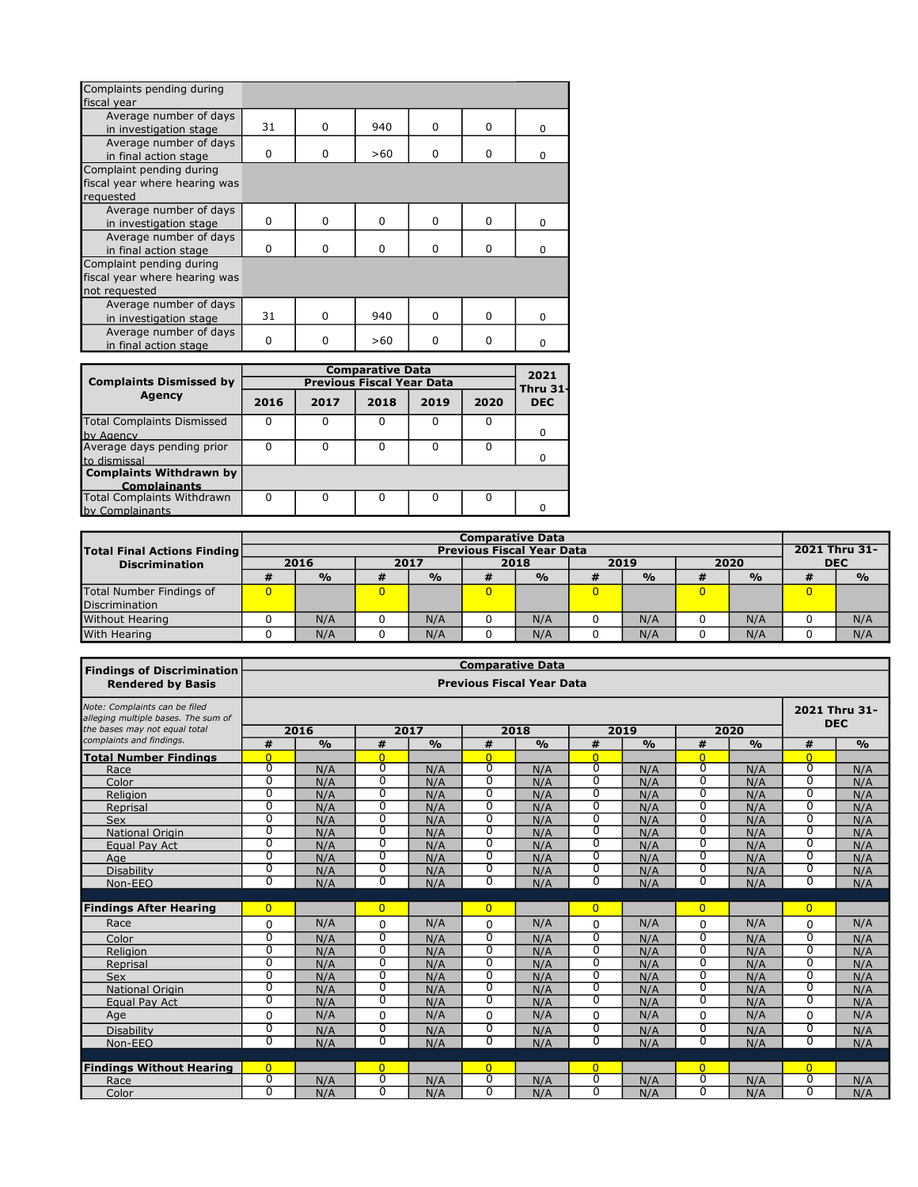| Complaints pending during     |          |              |          |          |          |              |
|-------------------------------|----------|--------------|----------|----------|----------|--------------|
| fiscal year                   |          |              |          |          |          |              |
| Average number of days        |          |              |          |          |          |              |
| in investigation stage        | 31       | 0            | 940      | 0        | $\Omega$ | $\Omega$     |
| Average number of days        |          |              |          |          |          |              |
| in final action stage         | $\Omega$ | $\Omega$     | >60      | $\Omega$ | $\Omega$ | <sup>0</sup> |
| Complaint pending during      |          |              |          |          |          |              |
| fiscal year where hearing was |          |              |          |          |          |              |
| requested                     |          |              |          |          |          |              |
| Average number of days        |          |              |          |          |          |              |
| in investigation stage        | $\Omega$ | <sup>0</sup> | $\Omega$ | $\Omega$ | $\Omega$ | $\Omega$     |
| Average number of days        |          |              |          |          |          |              |
| in final action stage         | $\Omega$ | $\Omega$     | $\Omega$ | $\Omega$ | 0        | $\Omega$     |
| Complaint pending during      |          |              |          |          |          |              |
| fiscal year where hearing was |          |              |          |          |          |              |
| not requested                 |          |              |          |          |          |              |
| Average number of days        |          |              |          |          |          |              |
| in investigation stage        | 31       | <sup>0</sup> | 940      | $\Omega$ | $\Omega$ | $\Omega$     |
| Average number of days        |          |              |          |          |          |              |
| in final action stage         | $\Omega$ | <sup>0</sup> | >60      | $\Omega$ | $\Omega$ | n            |

|                                                       |      |      | <b>Comparative Data</b>          |      |      | 2021            |
|-------------------------------------------------------|------|------|----------------------------------|------|------|-----------------|
| <b>Complaints Dismissed by</b>                        |      |      | <b>Previous Fiscal Year Data</b> |      |      | <b>Thru 31-</b> |
| <b>Agency</b>                                         | 2016 | 2017 | 2018                             | 2019 | 2020 | <b>DEC</b>      |
| <b>Total Complaints Dismissed</b><br>by Agency        |      |      | ი                                |      |      | 0               |
| Average days pending prior<br>to dismissal            | ŋ    |      | ŋ                                | n    |      | <sup>0</sup>    |
| <b>Complaints Withdrawn by</b><br><b>Complainants</b> |      |      |                                  |      |      |                 |
| <b>Total Complaints Withdrawn</b><br>by Complainants  | ŋ    |      | n                                | n    | O    | O               |

|                                    |   |               |   |               |   | <b>Comparative Data</b>          |                |               |   |               |               |
|------------------------------------|---|---------------|---|---------------|---|----------------------------------|----------------|---------------|---|---------------|---------------|
| <b>Total Final Actions Finding</b> |   |               |   |               |   | <b>Previous Fiscal Year Data</b> |                |               |   |               | 2021 Thru 31- |
| <b>Discrimination</b>              |   | 2016          |   | 2017          |   | 2018                             |                | 2019          |   | 2020          | <b>DEC</b>    |
|                                    |   | $\frac{0}{0}$ | # | $\frac{0}{0}$ | # | $\frac{0}{0}$                    | ₩              | $\frac{O}{O}$ | # | $\frac{O}{O}$ | $\frac{6}{9}$ |
| Total Number Findings of           | 0 |               |   |               | 0 |                                  | $\overline{0}$ |               | 0 |               |               |
| Discrimination                     |   |               |   |               |   |                                  |                |               |   |               |               |
| <b>Without Hearing</b>             |   | N/A           |   | N/A           |   | N/A                              |                | N/A           |   | N/A           | N/A           |
| With Hearing                       |   | N/A           |   | N/A           |   | N/A                              |                | N/A           |   | N/A           | N/A           |

| <b>Findings of Discrimination</b>                                    |                            |               |                      |               | <b>Comparative Data</b>    |                                  |                            |               |                            |               |                            |                             |
|----------------------------------------------------------------------|----------------------------|---------------|----------------------|---------------|----------------------------|----------------------------------|----------------------------|---------------|----------------------------|---------------|----------------------------|-----------------------------|
| <b>Rendered by Basis</b>                                             |                            |               |                      |               |                            | <b>Previous Fiscal Year Data</b> |                            |               |                            |               |                            |                             |
| Note: Complaints can be filed<br>alleging multiple bases. The sum of |                            |               |                      |               |                            |                                  |                            |               |                            |               |                            | 2021 Thru 31-<br><b>DEC</b> |
| the bases may not equal total<br>complaints and findings.            |                            | 2016          |                      | 2017          |                            | 2018                             |                            | 2019          |                            | 2020          |                            |                             |
|                                                                      | #                          | $\frac{0}{0}$ | #                    | $\frac{0}{0}$ | #                          | $\frac{0}{0}$                    | #                          | $\frac{0}{0}$ | #                          | $\frac{0}{0}$ | #                          | $\frac{0}{0}$               |
| <b>Total Number Findings</b>                                         | $\Omega$<br>$\overline{0}$ |               | $\Omega$<br>$\Omega$ |               | $\Omega$<br>$\overline{0}$ |                                  | $\Omega$<br>$\overline{0}$ |               | $\Omega$<br>$\overline{0}$ |               | $\Omega$<br>$\overline{0}$ |                             |
| Race                                                                 | $\overline{0}$             | N/A           | $\overline{0}$       | N/A           | $\overline{0}$             | N/A                              | $\overline{0}$             | N/A           | $\overline{0}$             | N/A           | $\overline{0}$             | N/A                         |
| Color                                                                | $\overline{0}$             | N/A           | $\overline{0}$       | N/A           | $\overline{0}$             | N/A                              | $\overline{0}$             | N/A           | $\overline{0}$             | N/A           | $\overline{0}$             | N/A                         |
| Religion                                                             | $\overline{0}$             | N/A           | $\overline{0}$       | N/A           | $\overline{0}$             | N/A                              | $\overline{0}$             | N/A           | $\overline{0}$             | N/A           | $\overline{0}$             | N/A                         |
| Reprisal                                                             | $\overline{0}$             | N/A           | $\overline{0}$       | N/A           | $\overline{0}$             | N/A                              | $\overline{0}$             | N/A           | $\overline{0}$             | N/A           | $\overline{0}$             | N/A                         |
| <b>Sex</b>                                                           | $\overline{0}$             | N/A           | $\Omega$             | N/A           | $\overline{0}$             | N/A                              | $\Omega$                   | N/A           | $\overline{0}$             | N/A           | $\Omega$                   | N/A                         |
| <b>National Origin</b>                                               | $\overline{0}$             | N/A           | $\overline{0}$       | N/A           | $\overline{0}$             | N/A                              | $\overline{0}$             | N/A           | $\overline{0}$             | N/A           | $\overline{0}$             | N/A                         |
| Equal Pay Act                                                        | $\overline{0}$             | N/A           | $\overline{0}$       | N/A           | $\overline{0}$             | N/A                              | $\overline{0}$             | N/A           | $\overline{0}$             | N/A           | $\overline{0}$             | N/A                         |
| Age                                                                  | $\overline{0}$             | N/A           | $\overline{0}$       | N/A           | $\overline{0}$             | N/A                              | $\overline{0}$             | N/A           | $\overline{0}$             | N/A           | $\overline{0}$             | N/A                         |
| Disability                                                           | $\overline{0}$             | N/A           | $\overline{0}$       | N/A           | $\overline{0}$             | N/A                              | $\overline{0}$             | N/A           | $\overline{0}$             | N/A           | $\overline{0}$             | N/A                         |
| Non-EEO                                                              |                            | N/A           |                      | N/A           |                            | N/A                              |                            | N/A           |                            | N/A           |                            | N/A                         |
| <b>Findings After Hearing</b>                                        | $\overline{0}$             |               | $\overline{0}$       |               | $\overline{0}$             |                                  | $\overline{0}$             |               | $\overline{0}$             |               | $\overline{0}$             |                             |
| Race                                                                 | $\Omega$                   | N/A           | 0                    | N/A           | $\Omega$                   | N/A                              | 0                          | N/A           | $\Omega$                   | N/A           | $\Omega$                   | N/A                         |
| Color                                                                | $\overline{0}$             | N/A           | $\overline{0}$       | N/A           | $\overline{0}$             | N/A                              | $\overline{0}$             | N/A           | $\overline{0}$             | N/A           | $\overline{0}$             | N/A                         |
| Religion                                                             | $\overline{0}$             | N/A           | $\overline{0}$       | N/A           | $\overline{0}$             | N/A                              | $\overline{0}$             | N/A           | $\overline{0}$             | N/A           | $\overline{0}$             | N/A                         |
| Reprisal                                                             | $\overline{0}$             | N/A           | 0                    | N/A           | 0                          | N/A                              | $\overline{0}$             | N/A           | $\overline{0}$             | N/A           | $\overline{0}$             | N/A                         |
| <b>Sex</b>                                                           | $\overline{0}$             | N/A           | $\overline{0}$       | N/A           | $\overline{0}$             | N/A                              | $\overline{0}$             | N/A           | $\overline{0}$             | N/A           | $\overline{0}$             | N/A                         |
| <b>National Origin</b>                                               | $\overline{0}$             | N/A           | $\overline{0}$       | N/A           | $\overline{0}$             | N/A                              | $\overline{0}$             | N/A           | $\overline{0}$             | N/A           | $\overline{0}$             | N/A                         |
| Equal Pay Act                                                        | $\overline{0}$             | N/A           | $\overline{0}$       | N/A           | $\overline{0}$             | N/A                              | $\overline{0}$             | N/A           | $\overline{0}$             | N/A           | $\overline{0}$             | N/A                         |
| Age                                                                  | $\Omega$                   | N/A           | 0                    | N/A           | 0                          | N/A                              | 0                          | N/A           | $\Omega$                   | N/A           | $\Omega$                   | N/A                         |
| <b>Disability</b>                                                    | $\overline{0}$             | N/A           | $\overline{0}$       | N/A           | $\overline{0}$             | N/A                              | $\overline{0}$             | N/A           | $\overline{0}$             | N/A           | $\overline{0}$             | N/A                         |
| Non-EEO                                                              | $\overline{0}$             | N/A           | $\overline{0}$       | N/A           | $\overline{0}$             | N/A                              | $\overline{0}$             | N/A           | $\overline{0}$             | N/A           | $\overline{0}$             | N/A                         |
|                                                                      |                            |               |                      |               |                            |                                  |                            |               |                            |               |                            |                             |
| <b>Findings Without Hearing</b>                                      | $\Omega$                   |               | $\Omega$             |               | $\overline{0}$             |                                  | $\overline{0}$             |               | $\overline{0}$             |               | $\overline{0}$             |                             |
| Race                                                                 | $\overline{0}$             | N/A           | $\overline{0}$       | N/A           | $\overline{0}$             | N/A                              | $\overline{0}$             | N/A           | $\overline{0}$             | N/A           | $\overline{0}$             | N/A                         |
| Color                                                                | $\overline{0}$             | N/A           | $\overline{0}$       | N/A           | $\overline{0}$             | N/A                              | $\overline{0}$             | N/A           | $\overline{0}$             | N/A           | $\overline{0}$             | N/A                         |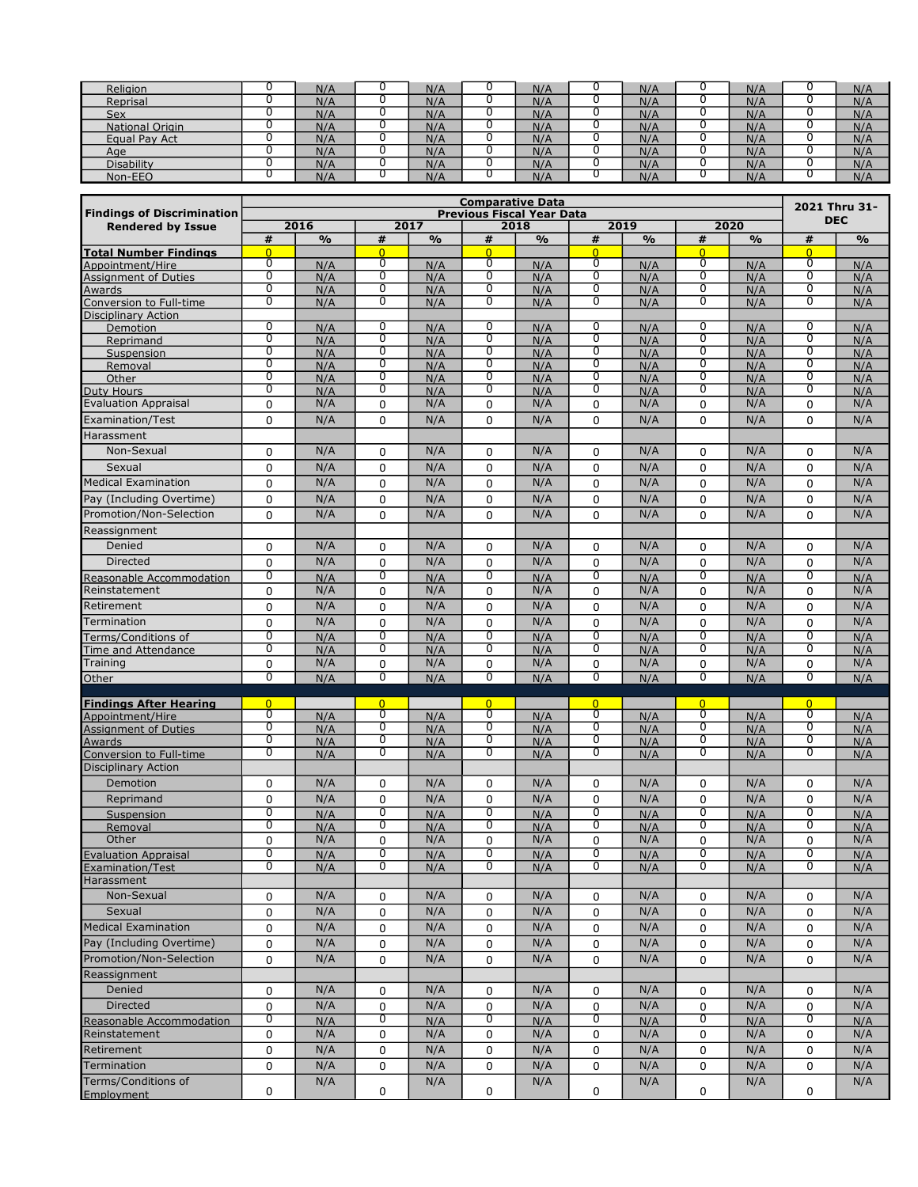| Religion          | N/A | N/A | N/A | N/A | N/A | N/A |
|-------------------|-----|-----|-----|-----|-----|-----|
| Reprisal          | N/A | N/A | N/A | N/A | N/A | N/A |
| Sex               | N/A | N/A | N/A | N/A | N/A | N/A |
| National Origin   | N/A | N/A | N/A | N/A | N/A | N/A |
| Equal Pay Act     | N/A | N/A | N/A | N/A | N/A | N/A |
| Age               | N/A | N/A | N/A | N/A | N/A | N/A |
| <b>Disability</b> | N/A | N/A | N/A | N/A | N/A | N/A |
| Non-EEO           | N/A | N/A | N/A | N/f | N/F | N/A |

|                                                                          |                     |               |                     |               | <b>Comparative Data</b>          |               |                     |               |                     |               |                                  | 2021 Thru 31- |
|--------------------------------------------------------------------------|---------------------|---------------|---------------------|---------------|----------------------------------|---------------|---------------------|---------------|---------------------|---------------|----------------------------------|---------------|
| <b>Findings of Discrimination</b>                                        |                     |               |                     |               | <b>Previous Fiscal Year Data</b> |               |                     |               |                     |               |                                  | <b>DEC</b>    |
| <b>Rendered by Issue</b>                                                 |                     | 2016          |                     | 2017          |                                  | 2018          |                     | 2019          |                     | 2020          |                                  |               |
| <b>Total Number Findings</b>                                             | #<br>$\overline{0}$ | $\frac{9}{6}$ | #<br>$\overline{0}$ | $\frac{9}{6}$ | #<br>$\overline{0}$              | $\frac{9}{6}$ | #<br>$\overline{0}$ | $\frac{0}{0}$ | #<br>$\overline{0}$ | $\frac{9}{6}$ | #<br>$\overline{0}$              | $\frac{9}{6}$ |
| Appointment/Hire                                                         | 0                   | N/A           | 0                   | N/A           | 0                                | N/A           | 0                   | N/A           | 0                   | N/A           | 0                                | N/A           |
| Assignment of Duties                                                     | $\overline{0}$      | N/A           | $\overline{0}$      | N/A           | 0                                | N/A           | $\overline{0}$      | N/A           | $\overline{0}$      | N/A           | $\overline{0}$                   | N/A           |
| Awards<br>Conversion to Full-time                                        | $\overline{0}$      | N/A           | $\overline{0}$      | N/A           | 0                                | N/A           | $\overline{0}$      | N/A           | ō                   | N/A           | $\overline{0}$                   | N/A           |
|                                                                          | $\overline{0}$      | N/A           | $\overline{0}$      | N/A           | $\overline{0}$                   | N/A           | $\overline{0}$      | N/A           | $\overline{0}$      | N/A           | $\overline{0}$                   | N/A           |
| Disciplinary Action                                                      | 0                   |               | $\overline{0}$      |               | $\overline{0}$                   |               | 0                   |               | $\overline{0}$      |               | 0                                |               |
| Demotion<br>Reprimand                                                    | $\overline{0}$      | N/A<br>N/A    | $\overline{0}$      | N/A<br>N/A    | $\overline{0}$                   | N/A<br>N/A    | $\overline{0}$      | N/A<br>N/A    | $\overline{0}$      | N/A<br>N/A    | $\overline{0}$                   | N/A<br>N/A    |
| Suspension                                                               | $\overline{0}$      | N/A           | $\overline{0}$      | N/A           | 0                                | N/A           | $\overline{0}$      | N/A           | ō                   | N/A           | $\overline{0}$                   | N/A           |
| Removal                                                                  | $\overline{0}$      | N/A           | $\overline{0}$      | N/A           | $\overline{0}$                   | N/A           | $\overline{0}$      | N/A           | $\overline{0}$      | N/A           | $\overline{0}$                   | N/A           |
| Other                                                                    | $\overline{0}$      | N/A           | $\overline{0}$      | N/A           | $\overline{0}$                   | N/A           | $\overline{0}$      | N/A           | $\overline{0}$      | N/A           | $\overline{0}$                   | N/A           |
| Duty Hours                                                               | 0                   | N/A           | 0                   | N/A           | 0                                | N/A           | 0                   | N/A           | 0                   | N/A           | 0                                | N/A           |
| <b>Evaluation Appraisal</b>                                              | 0                   | N/A           | 0                   | N/A           | 0                                | N/A           | 0                   | N/A           | $\mathbf 0$         | N/A           | 0                                | N/A           |
| Examination/Test                                                         | 0                   | N/A           | 0                   | N/A           | 0                                | N/A           | 0                   | N/A           | 0                   | N/A           | $\Omega$                         | N/A           |
| Harassment                                                               |                     |               |                     |               |                                  |               |                     |               |                     |               |                                  |               |
| Non-Sexual                                                               | 0                   | N/A           | 0                   | N/A           | 0                                | N/A           | 0                   | N/A           | $\mathbf 0$         | N/A           | 0                                | N/A           |
| Sexual                                                                   | 0                   | N/A           | 0                   | N/A           | 0                                | N/A           | 0                   | N/A           | $\mathbf 0$         | N/A           | 0                                | N/A           |
| Medical Examination                                                      | 0                   | N/A           | 0                   | N/A           | 0                                | N/A           | 0                   | N/A           | 0                   | N/A           | 0                                | N/A           |
| Pay (Including Overtime)                                                 | 0                   | N/A           | 0                   | N/A           | 0                                | N/A           | 0                   | N/A           | 0                   | N/A           | 0                                | N/A           |
| Promotion/Non-Selection                                                  | 0                   | N/A           | 0                   | N/A           | $\Omega$                         | N/A           | 0                   | N/A           | $\Omega$            | N/A           | $\Omega$                         | N/A           |
| Reassignment                                                             |                     |               |                     |               |                                  |               |                     |               |                     |               |                                  |               |
|                                                                          |                     |               |                     |               |                                  |               |                     |               |                     |               |                                  |               |
| Denied                                                                   | 0                   | N/A           | 0                   | N/A           | 0                                | N/A           | 0                   | N/A           | 0                   | N/A           | 0                                | N/A           |
| <b>Directed</b>                                                          | 0                   | N/A           | 0<br>$\overline{0}$ | N/A           | 0<br>$\overline{0}$              | N/A           | 0<br>$\overline{0}$ | N/A           | 0                   | N/A           | 0                                | N/A           |
| Reasonable Accommodation<br>Reinstatement                                | $\overline{0}$      | N/A           |                     | N/A           |                                  | N/A           |                     | N/A           | 0                   | N/A           | $\overline{0}$                   | N/A           |
|                                                                          | 0                   | N/A           | 0                   | N/A           | 0                                | N/A           | 0                   | N/A           | 0                   | N/A           | 0                                | N/A           |
| Retirement                                                               | 0                   | N/A           | 0                   | N/A           | 0                                | N/A           | 0                   | N/A           | 0                   | N/A           | 0                                | N/A           |
| Termination                                                              | 0                   | N/A           | 0                   | N/A           | $\mathbf 0$                      | N/A           | 0                   | N/A           | $\mathbf 0$         | N/A           | 0                                | N/A           |
| Terms/Conditions of                                                      | $\overline{0}$      | N/A           | $\overline{0}$      | N/A           | $\overline{0}$                   | N/A           | $\overline{0}$      | N/A           | $\overline{0}$      | N/A           | $\overline{0}$                   | N/A           |
| Time and Attendance<br>Training                                          | $\overline{0}$      | N/A           | 0                   | N/A<br>N/A    | $\overline{0}$                   | N/A<br>N/A    | 0                   | N/A<br>N/A    | $\overline{0}$      | N/A           | $\overline{0}$                   | N/A           |
|                                                                          | 0<br>$\overline{0}$ | N/A           | 0<br>$\overline{0}$ |               | 0<br>$\overline{0}$              |               | 0<br>$\overline{0}$ |               | $\mathbf 0$<br>0    | N/A           | 0<br>$\overline{0}$              | N/A           |
| Other                                                                    |                     | N/A           |                     | N/A           |                                  | N/A           |                     | N/A           |                     | N/A           |                                  | N/A           |
| <b>Findings After Hearing</b>                                            | $\overline{0}$      |               | $\Omega$            |               | $\overline{0}$                   |               | $\overline{0}$      |               | $\overline{0}$      |               | $\overline{0}$                   |               |
| Appointment/Hire                                                         | $\overline{0}$      | N/A           | 0                   | N/A           | $\overline{0}$                   | N/A           | $\overline{0}$      | N/A           | $\overline{0}$      | N/A           | $\overline{0}$                   | N/A           |
|                                                                          | $\overline{0}$      | N/A           | $\overline{0}$      | N/A           | $\overline{0}$                   | N/A           | $\overline{0}$      | N/A           | $\overline{0}$      | N/A           | $\overline{0}$                   | N/A           |
| Appointment of Duties<br>Assignment of Duties<br>Conversion to Full-time | 0<br>$\overline{0}$ | N/A           | 0<br>$\overline{0}$ | N/A           | 0<br>$\overline{0}$              | N/A           | 0<br>$\overline{0}$ | N/A           | 0<br>$\overline{0}$ | N/A           | 0<br>$\overline{0}$              | N/A           |
|                                                                          |                     | N/A           |                     | N/A           |                                  | N/A           |                     | N/A           |                     | N/A           |                                  | N/A           |
| <b>Disciplinary Action</b>                                               |                     |               |                     |               |                                  |               |                     |               |                     |               |                                  |               |
| Demotion                                                                 | 0                   | N/A           | 0                   | N/A           | 0                                | N/A           | 0                   | N/A           | 0                   | N/A           | 0                                | N/A           |
| Reprimand                                                                | 0                   | N/A           | 0                   | N/A           | $\mathbf{0}$                     | N/A           | 0                   | N/A           | $\mathbf{0}$        | N/A           | $\Omega$                         | N/A           |
| Suspension                                                               | 0<br>$\overline{0}$ | N/A           | 0<br>$\overline{0}$ | N/A           | 0<br>$\overline{0}$              | N/A           | 0<br>0              | N/A           | 0<br>0              | N/A           | $\overline{0}$<br>$\overline{0}$ | N/A           |
| Removal<br>Other                                                         | 0                   | N/A<br>N/A    | 0                   | N/A<br>N/A    | 0                                | N/A<br>N/A    | 0                   | N/A<br>N/A    | 0                   | N/A<br>N/A    | 0                                | N/A<br>N/A    |
| <b>Evaluation Appraisal</b>                                              | $\overline{0}$      | N/A           | 0                   | N/A           | 0                                | N/A           | 0                   | N/A           | 0                   | N/A           | 0                                | N/A           |
|                                                                          | U                   | N/A           | U                   | N/A           | U                                | N/A           | U                   | N/A           | U                   | N/A           | U                                | N/A           |
| Examination/Test<br>Harassment                                           |                     |               |                     |               |                                  |               |                     |               |                     |               |                                  |               |
| Non-Sexual                                                               | 0                   | N/A           | 0                   | N/A           | 0                                | N/A           | 0                   | N/A           | 0                   | N/A           | 0                                | N/A           |
| Sexual                                                                   | 0                   | N/A           | 0                   | N/A           | 0                                | N/A           | 0                   | N/A           | 0                   | N/A           | 0                                | N/A           |
| Medical Examination                                                      | 0                   | N/A           | 0                   | N/A           | 0                                | N/A           | 0                   | N/A           | 0                   | N/A           | 0                                | N/A           |
| Pay (Including Overtime)                                                 |                     | N/A           |                     | N/A           |                                  | N/A           |                     | N/A           |                     | N/A           |                                  | N/A           |
|                                                                          | 0                   |               | 0                   |               | 0                                |               | 0                   |               | $\mathbf 0$         |               | 0                                |               |
| Promotion/Non-Selection                                                  | 0                   | N/A           | 0                   | N/A           | 0                                | N/A           | 0                   | N/A           | 0                   | N/A           | 0                                | N/A           |
| Reassignment                                                             |                     |               |                     |               |                                  |               |                     |               |                     |               |                                  |               |
| Denied                                                                   | 0                   | N/A           | 0                   | N/A           | 0                                | N/A           | 0                   | N/A           | 0                   | N/A           | 0                                | N/A           |
| Directed                                                                 | 0                   | N/A           | 0                   | N/A           | 0                                | N/A           | 0                   | N/A           | $\mathbf 0$         | N/A           | 0                                | N/A           |
| Reasonable Accommodation                                                 | 0                   | N/A           | 0                   | N/A           | 0                                | N/A           | 0                   | N/A           | 0                   | N/A           | 0                                | N/A           |
| Reinstatement                                                            | 0                   | N/A           | 0                   | N/A           | 0                                | N/A           | 0                   | N/A           | $\mathbf 0$         | N/A           | 0                                | N/A           |
| Retirement                                                               | 0                   | N/A           | 0                   | N/A           | 0                                | N/A           | 0                   | N/A           | $\mathbf 0$         | N/A           | 0                                | N/A           |
| Termination                                                              | 0                   | N/A           | 0                   | N/A           | 0                                | N/A           | 0                   | N/A           | 0                   | N/A           | 0                                | N/A           |
| Terms/Conditions of                                                      |                     | N/A           |                     | N/A           |                                  | N/A           |                     | N/A           |                     | N/A           |                                  | N/A           |
| Employment                                                               | 0                   |               | 0                   |               | 0                                |               | 0                   |               | 0                   |               | 0                                |               |